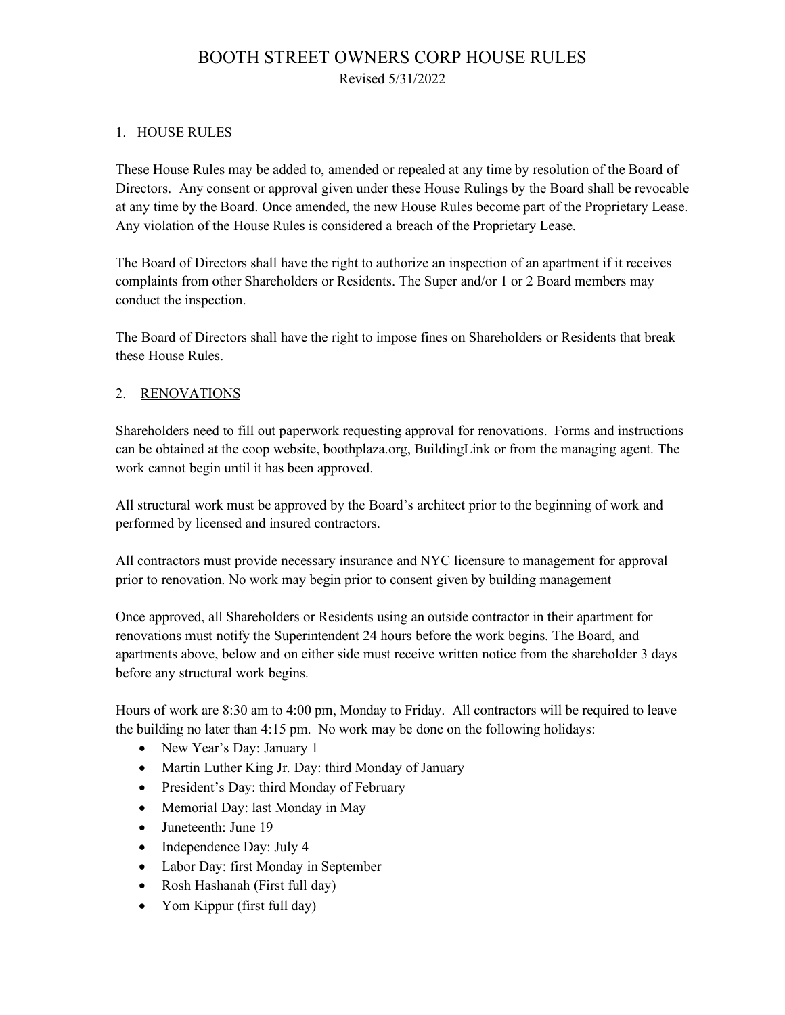# BOOTH STREET OWNERS CORP HOUSE RULES Revised 5/31/2022

#### 1. HOUSE RULES

These House Rules may be added to, amended or repealed at any time by resolution of the Board of Directors. Any consent or approval given under these House Rulings by the Board shall be revocable at any time by the Board. Once amended, the new House Rules become part of the Proprietary Lease. Any violation of the House Rules is considered a breach of the Proprietary Lease.

The Board of Directors shall have the right to authorize an inspection of an apartment if it receives complaints from other Shareholders or Residents. The Super and/or 1 or 2 Board members may conduct the inspection.

The Board of Directors shall have the right to impose fines on Shareholders or Residents that break these House Rules.

#### 2. RENOVATIONS

Shareholders need to fill out paperwork requesting approval for renovations. Forms and instructions can be obtained at the coop website, boothplaza.org, BuildingLink or from the managing agent. The work cannot begin until it has been approved.

All structural work must be approved by the Board's architect prior to the beginning of work and performed by licensed and insured contractors.

All contractors must provide necessary insurance and NYC licensure to management for approval prior to renovation. No work may begin prior to consent given by building management

Once approved, all Shareholders or Residents using an outside contractor in their apartment for renovations must notify the Superintendent 24 hours before the work begins. The Board, and apartments above, below and on either side must receive written notice from the shareholder 3 days before any structural work begins.

Hours of work are 8:30 am to 4:00 pm, Monday to Friday. All contractors will be required to leave the building no later than 4:15 pm. No work may be done on the following holidays:

- New Year's Day: January 1
- Martin Luther King Jr. Day: third Monday of January
- President's Day: third Monday of February
- Memorial Day: last Monday in May
- Juneteenth: June 19
- Independence Day: July 4
- Labor Day: first Monday in September
- Rosh Hashanah (First full day)
- Yom Kippur (first full day)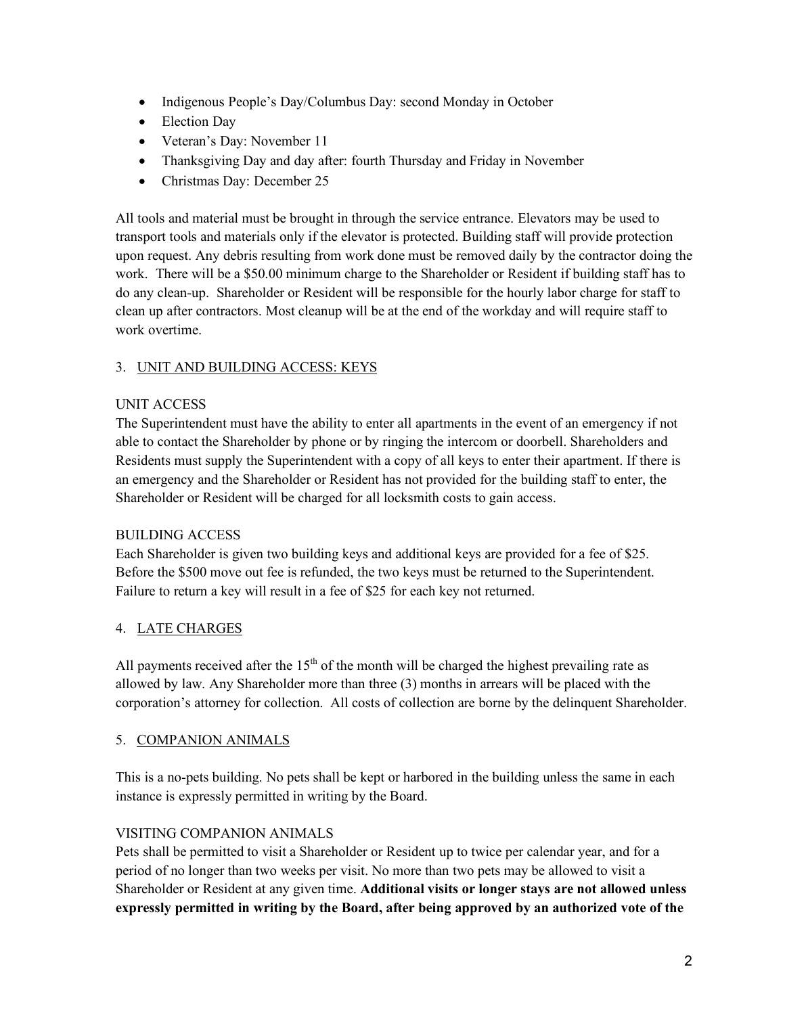- Indigenous People's Day/Columbus Day: second Monday in October
- Election Day
- Veteran's Day: November 11
- Thanksgiving Day and day after: fourth Thursday and Friday in November
- Christmas Day: December 25

All tools and material must be brought in through the service entrance. Elevators may be used to transport tools and materials only if the elevator is protected. Building staff will provide protection upon request. Any debris resulting from work done must be removed daily by the contractor doing the work. There will be a \$50.00 minimum charge to the Shareholder or Resident if building staff has to do any clean-up. Shareholder or Resident will be responsible for the hourly labor charge for staff to clean up after contractors. Most cleanup will be at the end of the workday and will require staff to work overtime.

### 3. UNIT AND BUILDING ACCESS: KEYS

### UNIT ACCESS

The Superintendent must have the ability to enter all apartments in the event of an emergency if not able to contact the Shareholder by phone or by ringing the intercom or doorbell. Shareholders and Residents must supply the Superintendent with a copy of all keys to enter their apartment. If there is an emergency and the Shareholder or Resident has not provided for the building staff to enter, the Shareholder or Resident will be charged for all locksmith costs to gain access.

### BUILDING ACCESS

Each Shareholder is given two building keys and additional keys are provided for a fee of \$25. Before the \$500 move out fee is refunded, the two keys must be returned to the Superintendent. Failure to return a key will result in a fee of \$25 for each key not returned.

### 4. LATE CHARGES

All payments received after the  $15<sup>th</sup>$  of the month will be charged the highest prevailing rate as allowed by law. Any Shareholder more than three (3) months in arrears will be placed with the corporation's attorney for collection. All costs of collection are borne by the delinquent Shareholder.

### 5. COMPANION ANIMALS

This is a no-pets building. No pets shall be kept or harbored in the building unless the same in each instance is expressly permitted in writing by the Board.

### VISITING COMPANION ANIMALS

Pets shall be permitted to visit a Shareholder or Resident up to twice per calendar year, and for a period of no longer than two weeks per visit. No more than two pets may be allowed to visit a Shareholder or Resident at any given time. **Additional visits or longer stays are not allowed unless expressly permitted in writing by the Board, after being approved by an authorized vote of the**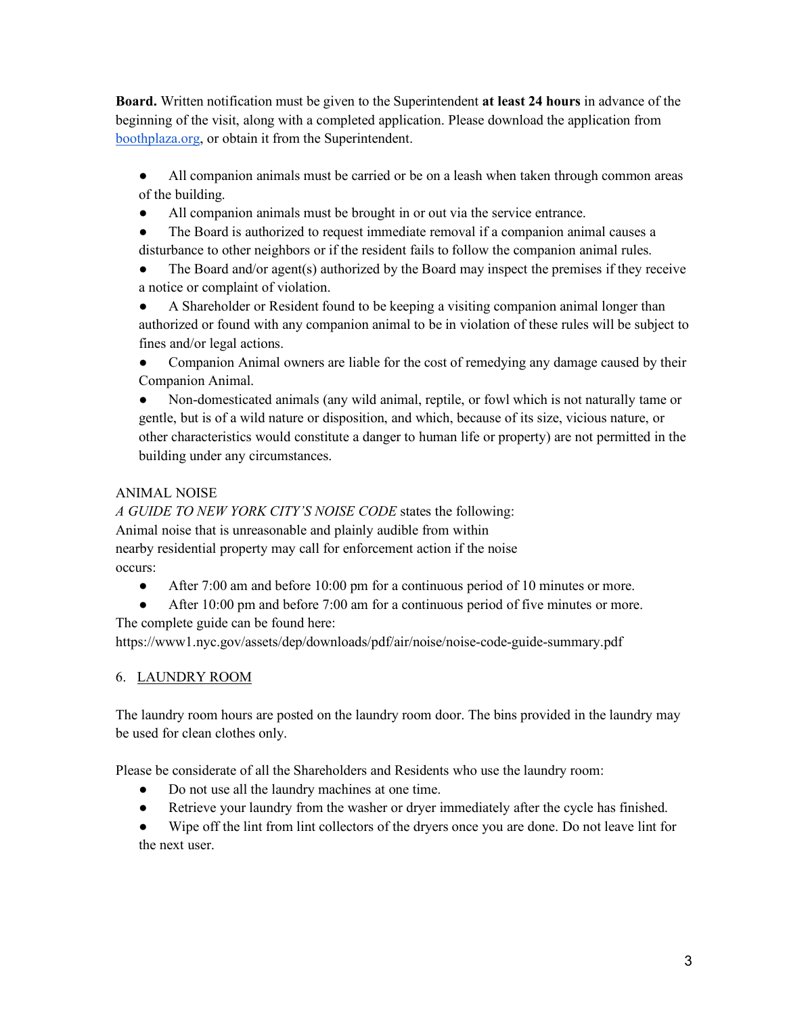**Board.** Written notification must be given to the Superintendent **at least 24 hours** in advance of the beginning of the visit, along with a completed application. Please download the application from boothplaza.org, or obtain it from the Superintendent.

- All companion animals must be carried or be on a leash when taken through common areas of the building.
- All companion animals must be brought in or out via the service entrance.
- The Board is authorized to request immediate removal if a companion animal causes a disturbance to other neighbors or if the resident fails to follow the companion animal rules.
- The Board and/or agent(s) authorized by the Board may inspect the premises if they receive a notice or complaint of violation.
- A Shareholder or Resident found to be keeping a visiting companion animal longer than authorized or found with any companion animal to be in violation of these rules will be subject to fines and/or legal actions.
- Companion Animal owners are liable for the cost of remedying any damage caused by their Companion Animal.
- Non-domesticated animals (any wild animal, reptile, or fowl which is not naturally tame or gentle, but is of a wild nature or disposition, and which, because of its size, vicious nature, or other characteristics would constitute a danger to human life or property) are not permitted in the building under any circumstances.

### ANIMAL NOISE

*A GUIDE TO NEW YORK CITY'S NOISE CODE* states the following: Animal noise that is unreasonable and plainly audible from within nearby residential property may call for enforcement action if the noise occurs:

- After 7:00 am and before 10:00 pm for a continuous period of 10 minutes or more.
- After 10:00 pm and before 7:00 am for a continuous period of five minutes or more.

The complete guide can be found here:

https://www1.nyc.gov/assets/dep/downloads/pdf/air/noise/noise-code-guide-summary.pdf

### 6. LAUNDRY ROOM

The laundry room hours are posted on the laundry room door. The bins provided in the laundry may be used for clean clothes only.

Please be considerate of all the Shareholders and Residents who use the laundry room:

- Do not use all the laundry machines at one time.
- Retrieve your laundry from the washer or dryer immediately after the cycle has finished.

Wipe off the lint from lint collectors of the dryers once you are done. Do not leave lint for the next user.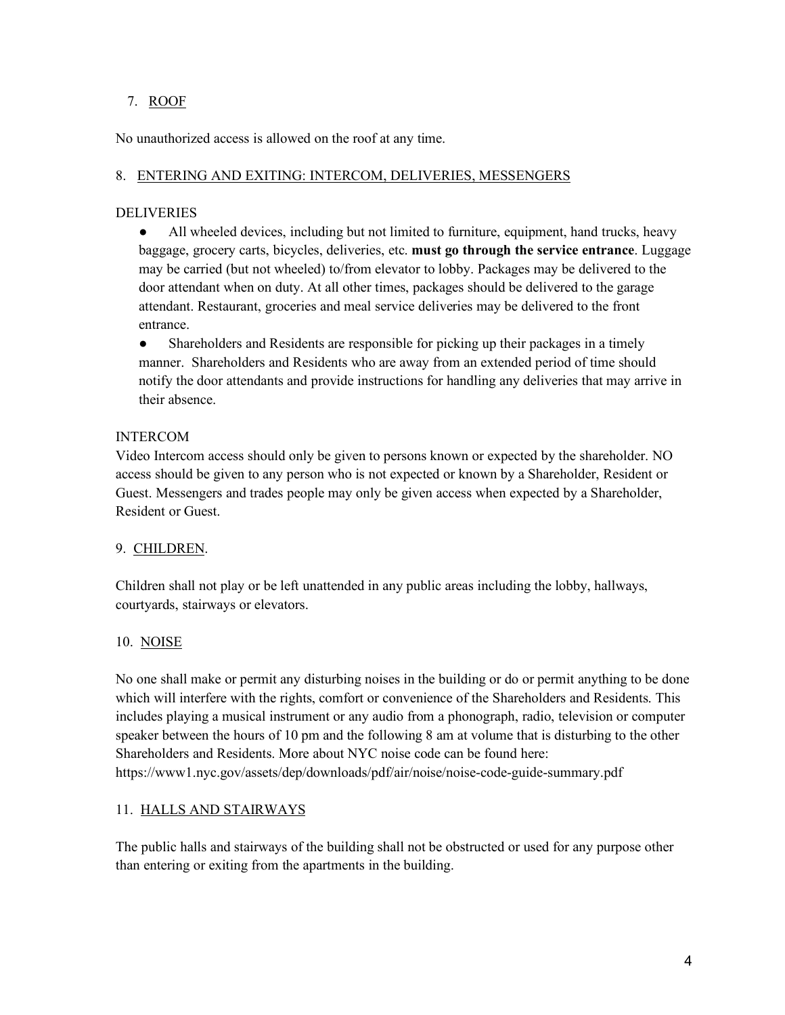#### 7. ROOF

No unauthorized access is allowed on the roof at any time.

#### 8. ENTERING AND EXITING: INTERCOM, DELIVERIES, MESSENGERS

#### DELIVERIES

• All wheeled devices, including but not limited to furniture, equipment, hand trucks, heavy baggage, grocery carts, bicycles, deliveries, etc. **must go through the service entrance**. Luggage may be carried (but not wheeled) to/from elevator to lobby. Packages may be delivered to the door attendant when on duty. At all other times, packages should be delivered to the garage attendant. Restaurant, groceries and meal service deliveries may be delivered to the front entrance.

• Shareholders and Residents are responsible for picking up their packages in a timely manner. Shareholders and Residents who are away from an extended period of time should notify the door attendants and provide instructions for handling any deliveries that may arrive in their absence.

#### INTERCOM

Video Intercom access should only be given to persons known or expected by the shareholder. NO access should be given to any person who is not expected or known by a Shareholder, Resident or Guest. Messengers and trades people may only be given access when expected by a Shareholder, Resident or Guest.

#### 9. CHILDREN.

Children shall not play or be left unattended in any public areas including the lobby, hallways, courtyards, stairways or elevators.

### 10. NOISE

No one shall make or permit any disturbing noises in the building or do or permit anything to be done which will interfere with the rights, comfort or convenience of the Shareholders and Residents. This includes playing a musical instrument or any audio from a phonograph, radio, television or computer speaker between the hours of 10 pm and the following 8 am at volume that is disturbing to the other Shareholders and Residents. More about NYC noise code can be found here: https://www1.nyc.gov/assets/dep/downloads/pdf/air/noise/noise-code-guide-summary.pdf

### 11. HALLS AND STAIRWAYS

The public halls and stairways of the building shall not be obstructed or used for any purpose other than entering or exiting from the apartments in the building.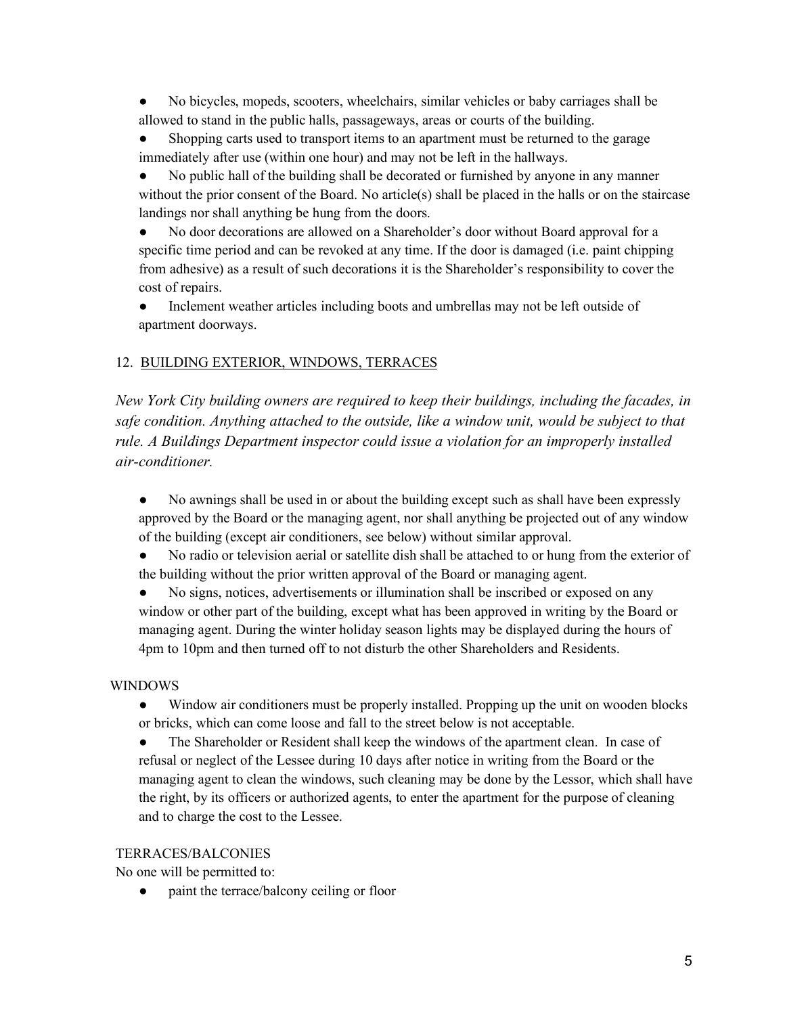● No bicycles, mopeds, scooters, wheelchairs, similar vehicles or baby carriages shall be allowed to stand in the public halls, passageways, areas or courts of the building.

• Shopping carts used to transport items to an apartment must be returned to the garage immediately after use (within one hour) and may not be left in the hallways.

• No public hall of the building shall be decorated or furnished by anyone in any manner without the prior consent of the Board. No article(s) shall be placed in the halls or on the staircase landings nor shall anything be hung from the doors.

● No door decorations are allowed on a Shareholder's door without Board approval for a specific time period and can be revoked at any time. If the door is damaged (i.e. paint chipping from adhesive) as a result of such decorations it is the Shareholder's responsibility to cover the cost of repairs.

• Inclement weather articles including boots and umbrellas may not be left outside of apartment doorways.

# 12. BUILDING EXTERIOR, WINDOWS, TERRACES

*New York City building owners are required to keep their buildings, including the facades, in*  safe condition. Anything attached to the outside, like a window unit, would be subject to that *rule. A Buildings Department inspector could issue a violation for an improperly installed air-conditioner.*

- No awnings shall be used in or about the building except such as shall have been expressly approved by the Board or the managing agent, nor shall anything be projected out of any window of the building (except air conditioners, see below) without similar approval.
- No radio or television aerial or satellite dish shall be attached to or hung from the exterior of the building without the prior written approval of the Board or managing agent.

• No signs, notices, advertisements or illumination shall be inscribed or exposed on any window or other part of the building, except what has been approved in writing by the Board or managing agent. During the winter holiday season lights may be displayed during the hours of 4pm to 10pm and then turned off to not disturb the other Shareholders and Residents.

### WINDOWS

● Window air conditioners must be properly installed. Propping up the unit on wooden blocks or bricks, which can come loose and fall to the street below is not acceptable.

• The Shareholder or Resident shall keep the windows of the apartment clean. In case of refusal or neglect of the Lessee during 10 days after notice in writing from the Board or the managing agent to clean the windows, such cleaning may be done by the Lessor, which shall have the right, by its officers or authorized agents, to enter the apartment for the purpose of cleaning and to charge the cost to the Lessee.

#### TERRACES/BALCONIES

No one will be permitted to:

• paint the terrace/balcony ceiling or floor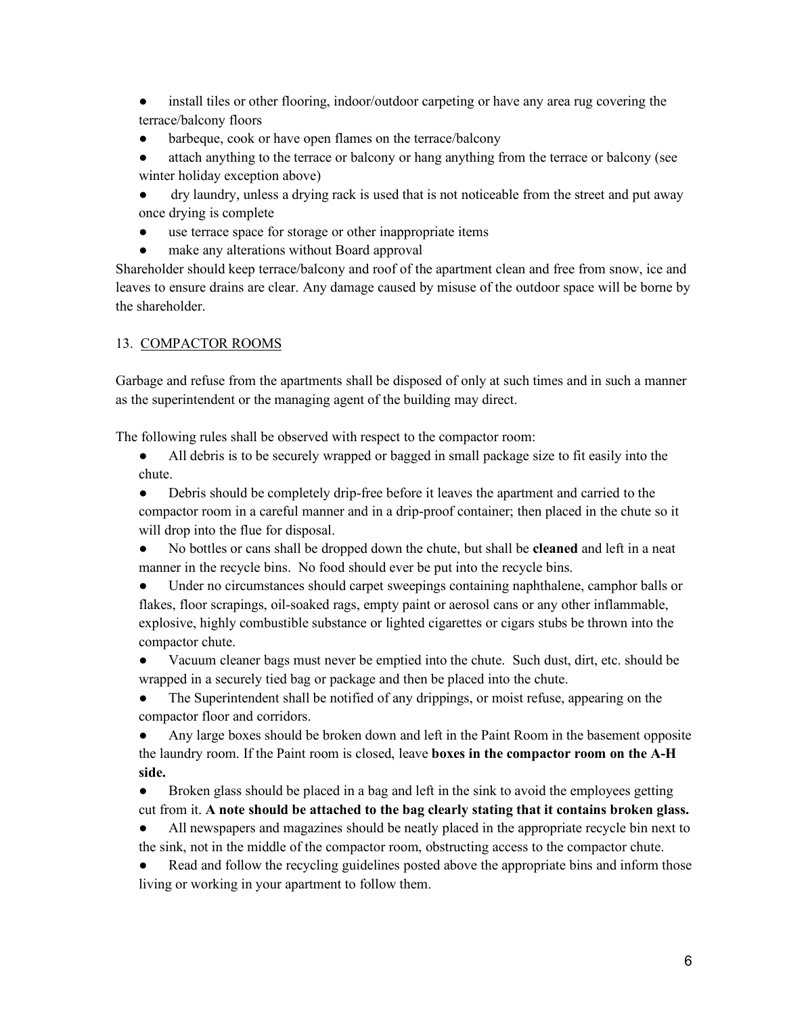• install tiles or other flooring, indoor/outdoor carpeting or have any area rug covering the terrace/balcony floors

• barbeque, cook or have open flames on the terrace/balcony

• attach anything to the terrace or balcony or hang anything from the terrace or balcony (see winter holiday exception above)

● dry laundry, unless a drying rack is used that is not noticeable from the street and put away once drying is complete

- use terrace space for storage or other inappropriate items
- make any alterations without Board approval

Shareholder should keep terrace/balcony and roof of the apartment clean and free from snow, ice and leaves to ensure drains are clear. Any damage caused by misuse of the outdoor space will be borne by the shareholder.

#### 13. COMPACTOR ROOMS

Garbage and refuse from the apartments shall be disposed of only at such times and in such a manner as the superintendent or the managing agent of the building may direct.

The following rules shall be observed with respect to the compactor room:

● All debris is to be securely wrapped or bagged in small package size to fit easily into the chute.

● Debris should be completely drip-free before it leaves the apartment and carried to the compactor room in a careful manner and in a drip-proof container; then placed in the chute so it will drop into the flue for disposal.

● No bottles or cans shall be dropped down the chute, but shall be **cleaned** and left in a neat manner in the recycle bins. No food should ever be put into the recycle bins.

● Under no circumstances should carpet sweepings containing naphthalene, camphor balls or flakes, floor scrapings, oil-soaked rags, empty paint or aerosol cans or any other inflammable, explosive, highly combustible substance or lighted cigarettes or cigars stubs be thrown into the compactor chute.

• Vacuum cleaner bags must never be emptied into the chute. Such dust, dirt, etc. should be wrapped in a securely tied bag or package and then be placed into the chute.

• The Superintendent shall be notified of any drippings, or moist refuse, appearing on the compactor floor and corridors.

● Any large boxes should be broken down and left in the Paint Room in the basement opposite the laundry room. If the Paint room is closed, leave **boxes in the compactor room on the A-H side.**

● Broken glass should be placed in a bag and left in the sink to avoid the employees getting cut from it. **A note should be attached to the bag clearly stating that it contains broken glass.**

● All newspapers and magazines should be neatly placed in the appropriate recycle bin next to the sink, not in the middle of the compactor room, obstructing access to the compactor chute.

• Read and follow the recycling guidelines posted above the appropriate bins and inform those living or working in your apartment to follow them.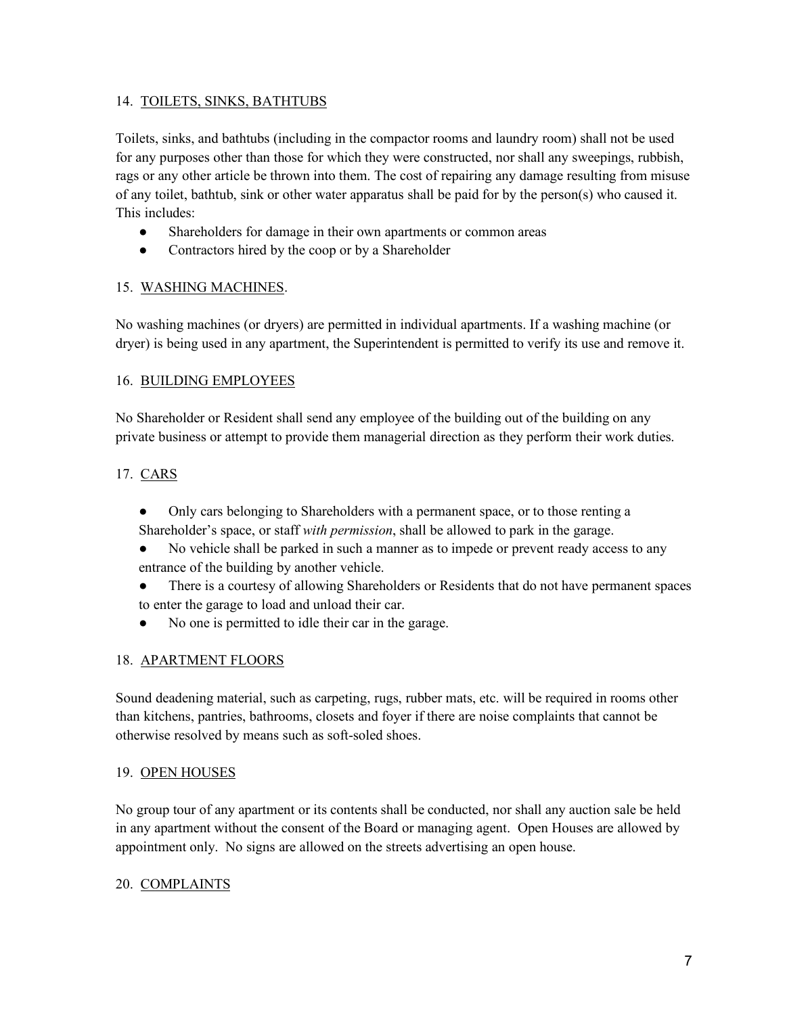#### 14. TOILETS, SINKS, BATHTUBS

Toilets, sinks, and bathtubs (including in the compactor rooms and laundry room) shall not be used for any purposes other than those for which they were constructed, nor shall any sweepings, rubbish, rags or any other article be thrown into them. The cost of repairing any damage resulting from misuse of any toilet, bathtub, sink or other water apparatus shall be paid for by the person(s) who caused it. This includes:

- Shareholders for damage in their own apartments or common areas
- Contractors hired by the coop or by a Shareholder

#### 15. WASHING MACHINES.

No washing machines (or dryers) are permitted in individual apartments. If a washing machine (or dryer) is being used in any apartment, the Superintendent is permitted to verify its use and remove it.

#### 16. BUILDING EMPLOYEES

No Shareholder or Resident shall send any employee of the building out of the building on any private business or attempt to provide them managerial direction as they perform their work duties.

#### 17. CARS

- Only cars belonging to Shareholders with a permanent space, or to those renting a Shareholder's space, or staff *with permission*, shall be allowed to park in the garage.
- No vehicle shall be parked in such a manner as to impede or prevent ready access to any entrance of the building by another vehicle.
- There is a courtesy of allowing Shareholders or Residents that do not have permanent spaces to enter the garage to load and unload their car.
- No one is permitted to idle their car in the garage.

#### 18. APARTMENT FLOORS

Sound deadening material, such as carpeting, rugs, rubber mats, etc. will be required in rooms other than kitchens, pantries, bathrooms, closets and foyer if there are noise complaints that cannot be otherwise resolved by means such as soft-soled shoes.

#### 19. OPEN HOUSES

No group tour of any apartment or its contents shall be conducted, nor shall any auction sale be held in any apartment without the consent of the Board or managing agent. Open Houses are allowed by appointment only. No signs are allowed on the streets advertising an open house.

#### 20. COMPLAINTS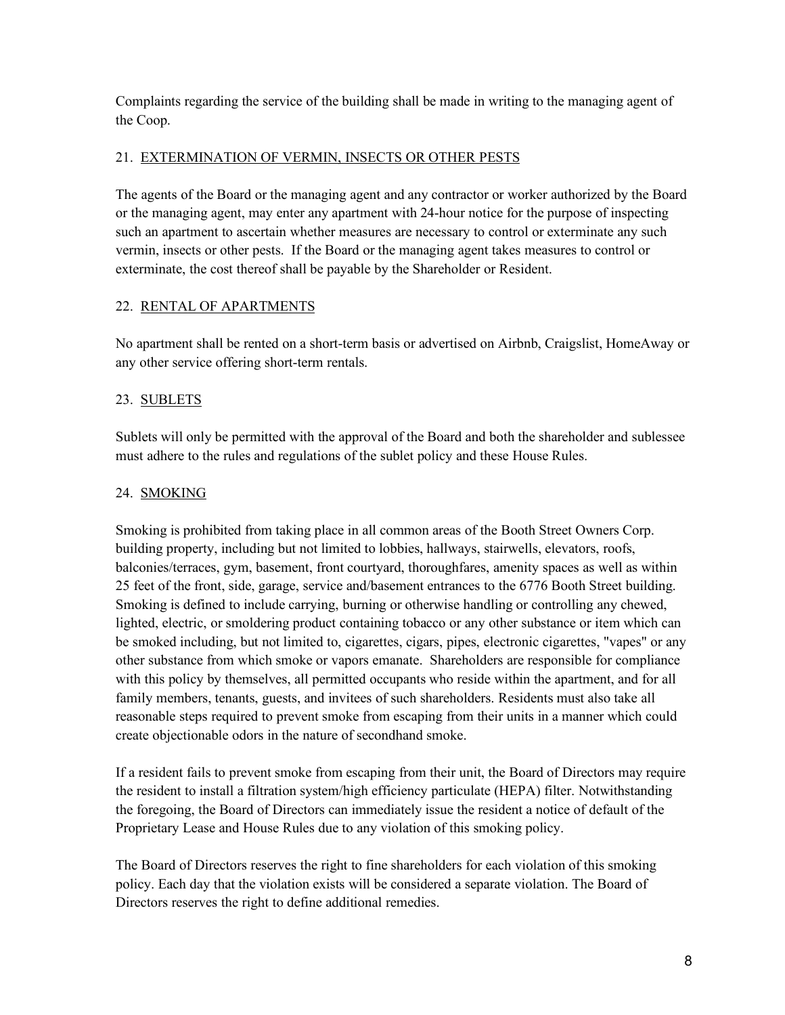Complaints regarding the service of the building shall be made in writing to the managing agent of the Coop.

#### 21. EXTERMINATION OF VERMIN, INSECTS OR OTHER PESTS

The agents of the Board or the managing agent and any contractor or worker authorized by the Board or the managing agent, may enter any apartment with 24-hour notice for the purpose of inspecting such an apartment to ascertain whether measures are necessary to control or exterminate any such vermin, insects or other pests. If the Board or the managing agent takes measures to control or exterminate, the cost thereof shall be payable by the Shareholder or Resident.

### 22. RENTAL OF APARTMENTS

No apartment shall be rented on a short-term basis or advertised on Airbnb, Craigslist, HomeAway or any other service offering short-term rentals.

# 23. SUBLETS

Sublets will only be permitted with the approval of the Board and both the shareholder and sublessee must adhere to the rules and regulations of the sublet policy and these House Rules.

# 24. SMOKING

Smoking is prohibited from taking place in all common areas of the Booth Street Owners Corp. building property, including but not limited to lobbies, hallways, stairwells, elevators, roofs, balconies/terraces, gym, basement, front courtyard, thoroughfares, amenity spaces as well as within 25 feet of the front, side, garage, service and/basement entrances to the 6776 Booth Street building. Smoking is defined to include carrying, burning or otherwise handling or controlling any chewed, lighted, electric, or smoldering product containing tobacco or any other substance or item which can be smoked including, but not limited to, cigarettes, cigars, pipes, electronic cigarettes, "vapes" or any other substance from which smoke or vapors emanate. Shareholders are responsible for compliance with this policy by themselves, all permitted occupants who reside within the apartment, and for all family members, tenants, guests, and invitees of such shareholders. Residents must also take all reasonable steps required to prevent smoke from escaping from their units in a manner which could create objectionable odors in the nature of secondhand smoke.

If a resident fails to prevent smoke from escaping from their unit, the Board of Directors may require the resident to install a filtration system/high efficiency particulate (HEPA) filter. Notwithstanding the foregoing, the Board of Directors can immediately issue the resident a notice of default of the Proprietary Lease and House Rules due to any violation of this smoking policy.

The Board of Directors reserves the right to fine shareholders for each violation of this smoking policy. Each day that the violation exists will be considered a separate violation. The Board of Directors reserves the right to define additional remedies.